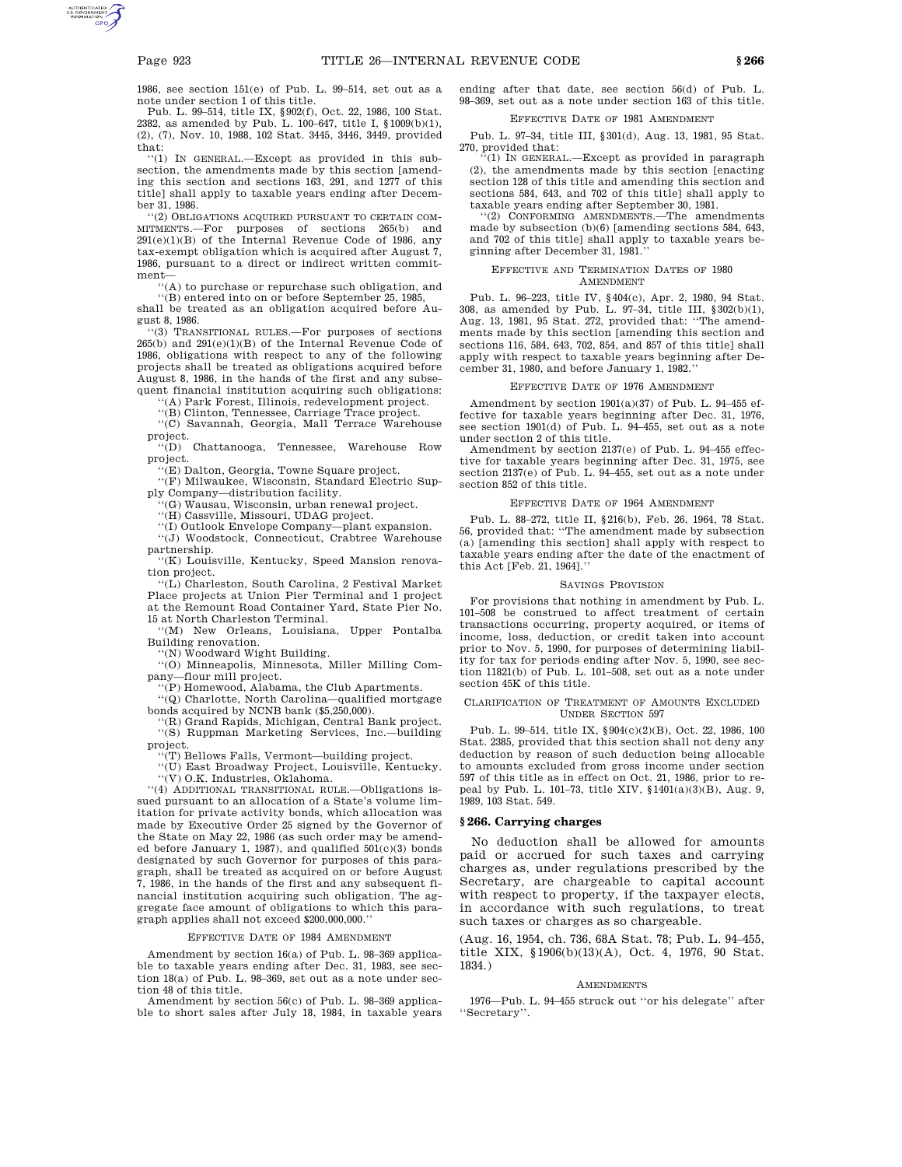1986, see section 151(e) of Pub. L. 99–514, set out as a note under section 1 of this title.

Pub. L. 99–514, title IX, §902(f), Oct. 22, 1986, 100 Stat. 2382, as amended by Pub. L. 100–647, title I, §1009(b)(1), (2), (7), Nov. 10, 1988, 102 Stat. 3445, 3446, 3449, provided that:

''(1) IN GENERAL.—Except as provided in this subsection, the amendments made by this section [amending this section and sections 163, 291, and 1277 of this title] shall apply to taxable years ending after December 31, 1986.

''(2) OBLIGATIONS ACQUIRED PURSUANT TO CERTAIN COM-MITMENTS.—For purposes of sections 265(b) and  $291(e)(1)(B)$  of the Internal Revenue Code of 1986, any tax-exempt obligation which is acquired after August 7, 1986, pursuant to a direct or indirect written commitment—

''(A) to purchase or repurchase such obligation, and

''(B) entered into on or before September 25, 1985, shall be treated as an obligation acquired before August 8, 1986.

''(3) TRANSITIONAL RULES.—For purposes of sections 265(b) and 291(e)(1)(B) of the Internal Revenue Code of 1986, obligations with respect to any of the following projects shall be treated as obligations acquired before August 8, 1986, in the hands of the first and any subsequent financial institution acquiring such obligations:

''(A) Park Forest, Illinois, redevelopment project.

''(B) Clinton, Tennessee, Carriage Trace project.

''(C) Savannah, Georgia, Mall Terrace Warehouse project.

''(D) Chattanooga, Tennessee, Warehouse Row project.

''(E) Dalton, Georgia, Towne Square project.

''(F) Milwaukee, Wisconsin, Standard Electric Sup-

ply Company—distribution facility. ''(G) Wausau, Wisconsin, urban renewal project.

''(H) Cassville, Missouri, UDAG project.

''(I) Outlook Envelope Company—plant expansion. ''(J) Woodstock, Connecticut, Crabtree Warehouse partnership.

''(K) Louisville, Kentucky, Speed Mansion renovation project.

'(L) Charleston, South Carolina, 2 Festival Market Place projects at Union Pier Terminal and 1 project at the Remount Road Container Yard, State Pier No. 15 at North Charleston Terminal.

''(M) New Orleans, Louisiana, Upper Pontalba Building renovation.

'(N) Woodward Wight Building.

''(O) Minneapolis, Minnesota, Miller Milling Company—flour mill project.

''(P) Homewood, Alabama, the Club Apartments.

''(Q) Charlotte, North Carolina—qualified mortgage bonds acquired by NCNB bank (\$5,250,000).

''(R) Grand Rapids, Michigan, Central Bank project. ''(S) Ruppman Marketing Services, Inc.—building project.

''(T) Bellows Falls, Vermont—building project.

''(U) East Broadway Project, Louisville, Kentucky.

''(V) O.K. Industries, Oklahoma.

''(4) ADDITIONAL TRANSITIONAL RULE.—Obligations issued pursuant to an allocation of a State's volume limitation for private activity bonds, which allocation was made by Executive Order 25 signed by the Governor of the State on May 22, 1986 (as such order may be amended before January 1, 1987), and qualified  $501(c)(3)$  bonds designated by such Governor for purposes of this paragraph, shall be treated as acquired on or before August 7, 1986, in the hands of the first and any subsequent financial institution acquiring such obligation. The aggregate face amount of obligations to which this paragraph applies shall not exceed \$200,000,000.''

## EFFECTIVE DATE OF 1984 AMENDMENT

Amendment by section 16(a) of Pub. L. 98–369 applicable to taxable years ending after Dec. 31, 1983, see section 18(a) of Pub. L. 98–369, set out as a note under section 48 of this title.

Amendment by section 56(c) of Pub. L. 98–369 applicable to short sales after July 18, 1984, in taxable years

ending after that date, see section 56(d) of Pub. L. 98–369, set out as a note under section 163 of this title.

# EFFECTIVE DATE OF 1981 AMENDMENT

Pub. L. 97–34, title III, §301(d), Aug. 13, 1981, 95 Stat. 270, provided that:

''(1) IN GENERAL.—Except as provided in paragraph (2), the amendments made by this section [enacting section 128 of this title and amending this section and sections 584, 643, and 702 of this title] shall apply to taxable years ending after September 30, 1981.

''(2) CONFORMING AMENDMENTS.—The amendments made by subsection (b)(6) [amending sections 584, 643, and 702 of this title] shall apply to taxable years beginning after December 31, 1981.''

#### EFFECTIVE AND TERMINATION DATES OF 1980 AMENDMENT

Pub. L. 96–223, title IV, §404(c), Apr. 2, 1980, 94 Stat. 308, as amended by Pub. L. 97–34, title III, §302(b)(1), Aug. 13, 1981, 95 Stat. 272, provided that: ''The amendments made by this section [amending this section and sections 116, 584, 643, 702, 854, and 857 of this title] shall apply with respect to taxable years beginning after December 31, 1980, and before January 1, 1982.''

# EFFECTIVE DATE OF 1976 AMENDMENT

Amendment by section 1901(a)(37) of Pub. L. 94–455 effective for taxable years beginning after Dec. 31, 1976, see section 1901(d) of Pub. L. 94–455, set out as a note under section 2 of this title.

Amendment by section 2137(e) of Pub. L. 94–455 effective for taxable years beginning after Dec. 31, 1975, see section 2137(e) of Pub. L. 94–455, set out as a note under section 852 of this title.

#### EFFECTIVE DATE OF 1964 AMENDMENT

Pub. L. 88–272, title II, §216(b), Feb. 26, 1964, 78 Stat. 56, provided that: ''The amendment made by subsection (a) [amending this section] shall apply with respect to taxable years ending after the date of the enactment of this Act [Feb. 21, 1964].''

#### SAVINGS PROVISION

For provisions that nothing in amendment by Pub. L. 101–508 be construed to affect treatment of certain transactions occurring, property acquired, or items of income, loss, deduction, or credit taken into account prior to Nov. 5, 1990, for purposes of determining liability for tax for periods ending after Nov. 5, 1990, see section 11821(b) of Pub. L. 101–508, set out as a note under section 45K of this title.

#### CLARIFICATION OF TREATMENT OF AMOUNTS EXCLUDED UNDER SECTION 597

Pub. L. 99–514, title IX, §904(c)(2)(B), Oct. 22, 1986, 100 Stat. 2385, provided that this section shall not deny any deduction by reason of such deduction being allocable to amounts excluded from gross income under section 597 of this title as in effect on Oct. 21, 1986, prior to repeal by Pub. L. 101–73, title XIV, §1401(a)(3)(B), Aug. 9, 1989, 103 Stat. 549.

#### **§ 266. Carrying charges**

No deduction shall be allowed for amounts paid or accrued for such taxes and carrying charges as, under regulations prescribed by the Secretary, are chargeable to capital account with respect to property, if the taxpayer elects, in accordance with such regulations, to treat such taxes or charges as so chargeable.

(Aug. 16, 1954, ch. 736, 68A Stat. 78; Pub. L. 94–455, title XIX, §1906(b)(13)(A), Oct. 4, 1976, 90 Stat. 1834.)

#### AMENDMENTS

1976—Pub. L. 94–455 struck out ''or his delegate'' after ''Secretary''.